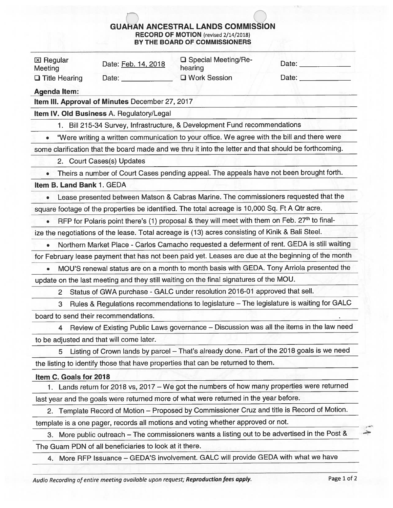## GUAHAN ANCESTRAL LANDS COMMISSION RECORD OF MOTION (revised 2/14/2012) BY THE BOARD OF COMMISSIONERS

|                             |                                                        | <b>GUAHAN ANCESTRAL LANDS COMMISSION</b><br><b>RECORD OF MOTION</b> (revised 2/14/2018)                  |                                                                                                     |
|-----------------------------|--------------------------------------------------------|----------------------------------------------------------------------------------------------------------|-----------------------------------------------------------------------------------------------------|
|                             |                                                        | BY THE BOARD OF COMMISSIONERS                                                                            |                                                                                                     |
| <b>区 Regular</b><br>Meeting | Date: Feb. 14, 2018                                    | <b>Q</b> Special Meeting/Re-<br>hearing                                                                  | Date: <u>_____________</u>                                                                          |
| $\Box$ Title Hearing        | Date: <b>Exercise State</b>                            | □ Work Session                                                                                           | Date:                                                                                               |
| <b>Agenda Item:</b>         |                                                        |                                                                                                          |                                                                                                     |
|                             | Item III. Approval of Minutes December 27, 2017        |                                                                                                          |                                                                                                     |
|                             | Item IV. Old Business A. Regulatory/Legal              |                                                                                                          |                                                                                                     |
|                             |                                                        | 1. Bill 215-34 Survey, Infrastructure, & Development Fund recommendations                                |                                                                                                     |
|                             |                                                        | "Were writing a written communication to your office. We agree with the bill and there were              |                                                                                                     |
|                             |                                                        | some clarification that the board made and we thru it into the letter and that should be forthcoming.    |                                                                                                     |
|                             | 2. Court Cases(s) Updates                              |                                                                                                          |                                                                                                     |
| $\bullet$                   |                                                        | Theirs a number of Court Cases pending appeal. The appeals have not been brought forth.                  |                                                                                                     |
| Item B. Land Bank 1. GEDA   |                                                        |                                                                                                          |                                                                                                     |
|                             |                                                        | Lease presented between Matson & Cabras Marine. The commissioners requested that the                     |                                                                                                     |
|                             |                                                        | square footage of the properties be identified. The total acreage is 10,000 Sq. Ft A Qtr acre.           |                                                                                                     |
|                             |                                                        | RFP for Polaris point there's (1) proposal & they will meet with them on Feb. 27 <sup>th</sup> to final- |                                                                                                     |
|                             |                                                        | ize the negotiations of the lease. Total acreage is (13) acres consisting of Kinik & Bali Steel.         |                                                                                                     |
|                             |                                                        |                                                                                                          | Northern Market Place - Carlos Camacho requested a deferment of rent. GEDA is still waiting         |
|                             |                                                        |                                                                                                          | for February lease payment that has not been paid yet. Leases are due at the beginning of the month |
|                             |                                                        |                                                                                                          | MOU'S renewal status are on a month to month basis with GEDA. Tony Arriola presented the            |
|                             |                                                        | update on the last meeting and they still waiting on the final signatures of the MOU.                    |                                                                                                     |
| $\mathbf{2}^{\mathsf{I}}$   |                                                        | Status of GWA purchase - GALC under resolution 2016-01 approved that sell.                               |                                                                                                     |
| 3                           |                                                        |                                                                                                          | Rules & Regulations recommendations to legislature - The legislature is waiting for GALC            |
|                             | board to send their recommendations.                   |                                                                                                          |                                                                                                     |
| 4                           |                                                        |                                                                                                          | Review of Existing Public Laws governance - Discussion was all the items in the law need            |
|                             | to be adjusted and that will come later.               |                                                                                                          |                                                                                                     |
| 5                           |                                                        |                                                                                                          | Listing of Crown lands by parcel - That's already done. Part of the 2018 goals is we need           |
|                             |                                                        | the listing to identify those that have properties that can be returned to them.                         |                                                                                                     |
| Item C. Goals for 2018      |                                                        |                                                                                                          |                                                                                                     |
|                             |                                                        |                                                                                                          | 1. Lands return for 2018 vs, 2017 - We got the numbers of how many properties were returned         |
|                             |                                                        | last year and the goals were returned more of what were returned in the year before.                     |                                                                                                     |
|                             |                                                        |                                                                                                          | 2. Template Record of Motion - Proposed by Commissioner Cruz and title is Record of Motion.         |
|                             |                                                        | template is a one pager, records all motions and voting whether approved or not.                         |                                                                                                     |
| З.                          |                                                        |                                                                                                          | More public outreach - The commissioners wants a listing out to be advertised in the Post &         |
|                             | The Guam PDN of all beneficiaries to look at it there. |                                                                                                          |                                                                                                     |

4. More REP Issuance — GEDA'S involvement. GALC will provide GEDA with what we have